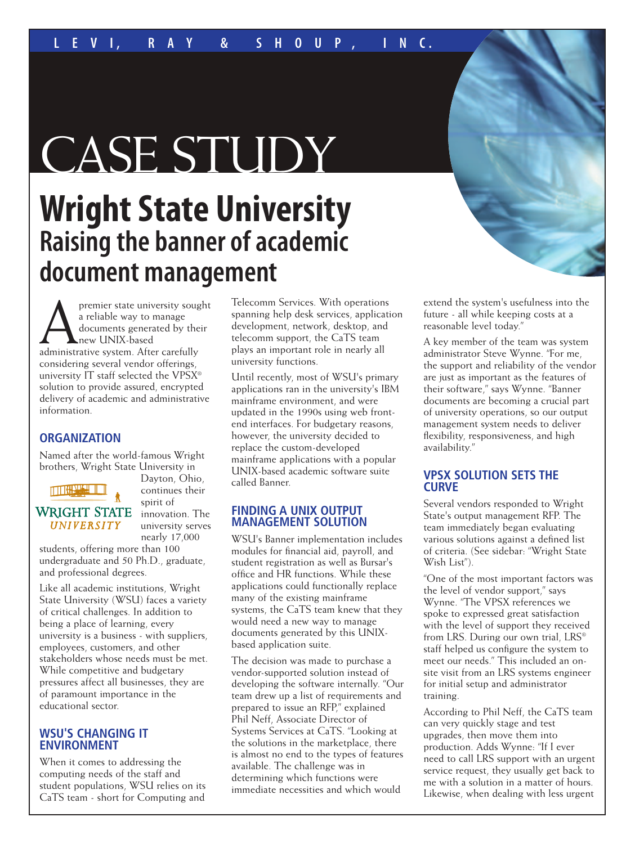# CASE STUDY

# **Wright State University Raising the banner of academic document management**

premier state university sought<br>a reliable way to manage<br>documents generated by their<br>administrative system. After carefully a reliable way to manage documents generated by their new UNIX-based administrative system. After carefully considering several vendor offerings, university IT staff selected the VPSX® solution to provide assured, encrypted delivery of academic and administrative information.

# **ORGANIZATION**

Named after the world-famous Wright brothers, Wright State University in

# THREE SEAL

# **WRIGHT STATE UNIVERSITY**

continues their spirit of innovation. The university serves nearly 17,000

Dayton, Ohio,

students, offering more than 100 undergraduate and 50 Ph.D., graduate, and professional degrees.

Like all academic institutions, Wright State University (WSU) faces a variety of critical challenges. In addition to being a place of learning, every university is a business - with suppliers, employees, customers, and other stakeholders whose needs must be met. While competitive and budgetary pressures affect all businesses, they are of paramount importance in the educational sector.

# **WSU'S CHANGING IT ENVIRONMENT**

When it comes to addressing the computing needs of the staff and student populations, WSU relies on its CaTS team - short for Computing and

Telecomm Services. With operations spanning help desk services, application development, network, desktop, and telecomm support, the CaTS team plays an important role in nearly all university functions.

Until recently, most of WSU's primary applications ran in the university's IBM mainframe environment, and were updated in the 1990s using web frontend interfaces. For budgetary reasons, however, the university decided to replace the custom-developed mainframe applications with a popular UNIX-based academic software suite called Banner.

## **FINDING A UNIX OUTPUT MANAGEMENT SOLUTION**

WSU's Banner implementation includes modules for financial aid, payroll, and student registration as well as Bursar's office and HR functions. While these applications could functionally replace many of the existing mainframe systems, the CaTS team knew that they would need a new way to manage documents generated by this UNIXbased application suite.

The decision was made to purchase a vendor-supported solution instead of developing the software internally. "Our team drew up a list of requirements and prepared to issue an RFP," explained Phil Neff, Associate Director of Systems Services at CaTS. "Looking at the solutions in the marketplace, there is almost no end to the types of features available. The challenge was in determining which functions were immediate necessities and which would

extend the system's usefulness into the future - all while keeping costs at a reasonable level today."

A key member of the team was system administrator Steve Wynne. "For me, the support and reliability of the vendor are just as important as the features of their software," says Wynne. "Banner documents are becoming a crucial part of university operations, so our output management system needs to deliver flexibility, responsiveness, and high availability."

## **VPSX SOLUTION SETS THE CURVE**

Several vendors responded to Wright State's output management RFP. The team immediately began evaluating various solutions against a defined list of criteria. (See sidebar: "Wright State Wish List").

"One of the most important factors was the level of vendor support," says Wynne. "The VPSX references we spoke to expressed great satisfaction with the level of support they received from LRS. During our own trial, LRS® staff helped us configure the system to meet our needs." This included an onsite visit from an LRS systems engineer for initial setup and administrator training.

According to Phil Neff, the CaTS team can very quickly stage and test upgrades, then move them into production. Adds Wynne: "If I ever need to call LRS support with an urgent service request, they usually get back to me with a solution in a matter of hours. Likewise, when dealing with less urgent